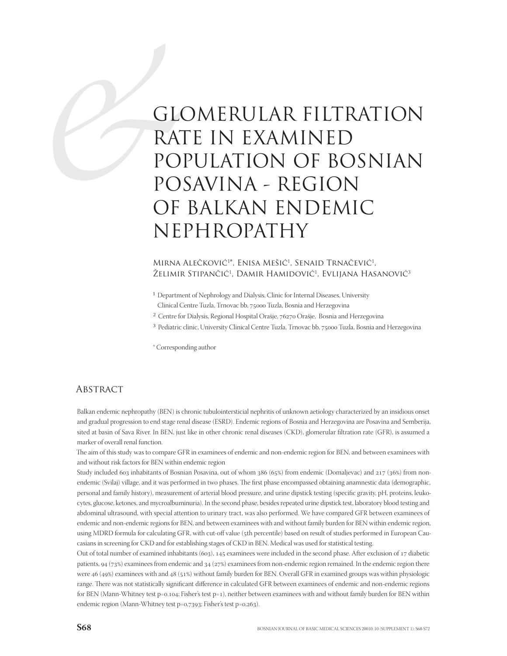# CONGLE GLOMERULAR FILTRATION RATE IN EXAMINED POPULATION OF BOSNIAN POSAVINA - REGION OF BALKAN ENDEMIC NEPHROPATHY

### Mirna Alečković<sup>1\*</sup>, Enisa Mešić<sup>1</sup>, Senaid Trnačević<sup>1</sup>, Želimir Stipančić<sup>1</sup>, Damir Hamidović<sup>1</sup>, Evlijana Hasanović<sup>3</sup>

- <sup>1</sup> Department of Nephrology and Dialysis, Clinic for Internal Diseases, University Clinical Centre Tuzla, Trnovac bb, 75000 Tuzla, Bosnia and Herzegovina
- <sup>2</sup> Centre for Dialysis, Regional Hospital Orašje, 76270 Orašje, Bosnia and Herzegovina
- <sup>3</sup> Pediatric clinic, University Clinical Centre Tuzla, Trnovac bb, 75000 Tuzla, Bosnia and Herzegovina

\* Corresponding author

## **ABSTRACT**

Balkan endemic nephropathy (BEN) is chronic tubulointersticial nephritis of unknown aetiology characterized by an insidious onset and gradual progression to end stage renal disease (ESRD). Endemic regions of Bosnia and Herzegovina are Posavina and Semberija, sited at basin of Sava River. In BEN, just like in other chronic renal diseases (CKD), glomerular filtration rate (GFR), is assumed a marker of overall renal function.

The aim of this study was to compare GFR in examinees of endemic and non-endemic region for BEN, and between examinees with and without risk factors for BEN within endemic region

Study included 603 inhabitants of Bosnian Posavina, out of whom  $386(65%)$  from endemic (Domaljevac) and  $217(36%)$  from nonendemic (Svilaj) village, and it was performed in two phases. The first phase encompassed obtaining anamnestic data (demographic, personal and family history), measurement of arterial blood pressure, and urine dipstick testing (specific gravity, pH, proteins, leukocytes, glucose, ketones, and mycroalbuminuria). In the second phase, besides repeated urine dipstick test, laboratory blood testing and abdominal ultrasound, with special attention to urinary tract, was also performed. We have compared GFR between examinees of endemic and non-endemic regions for BEN, and between examinees with and without family burden for BEN within endemic region, using MDRD formula for calculating GFR, with cut-off value (5th percentile) based on result of studies performed in European Caucasians in screening for CKD and for establishing stages of CKD in BEN. Medical was used for statistical testing.

Out of total number of examined inhabitants  $(603)$ , 145 examinees were included in the second phase. After exclusion of 17 diabetic patients,  $94 (73%)$  examinees from endemic and  $34 (27%)$  examinees from non-endemic region remained. In the endemic region there were 46 (49%) examinees with and 48 (51%) without family burden for BEN. Overall GFR in examined groups was within physiologic range. There was not statistically significant difference in calculated GFR between examinees of endemic and non-endemic regions for BEN (Mann-Whitney test  $p=0.104$ ; Fisher's test  $p=1$ ), neither between examinees with and without family burden for BEN within endemic region (Mann-Whitney test p=0,7393; Fisher's test p=0,263).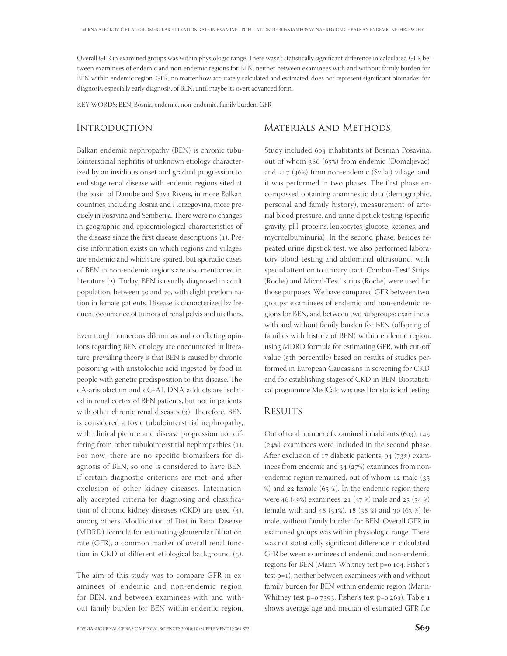Overall GFR in examined groups was within physiologic range. There wasn't statistically significant difference in calculated GFR between examinees of endemic and non-endemic regions for BEN, neither between examinees with and without family burden for BEN within endemic region. GFR, no matter how accurately calculated and estimated, does not represent significant biomarker for diagnosis, especially early diagnosis, of BEN, until maybe its overt advanced form.

KEY WORDS: BEN, Bosnia, endemic, non-endemic, family burden, GFR

### **INTRODUCTION**

## Materials and Methods

Balkan endemic nephropathy (BEN) is chronic tubulointersticial nephritis of unknown etiology characterized by an insidious onset and gradual progression to end stage renal disease with endemic regions sited at the basin of Danube and Sava Rivers, in more Balkan countries, including Bosnia and Herzegovina, more precisely in Posavina and Semberija. There were no changes in geographic and epidemiological characteristics of the disease since the first disease descriptions  $(1)$ . Precise information exists on which regions and villages are endemic and which are spared, but sporadic cases of BEN in non-endemic regions are also mentioned in literature (2). Today, BEN is usually diagnosed in adult population, between 50 and 70, with slight predomination in female patients. Disease is characterized by frequent occurrence of tumors of renal pelvis and urethers.

Even tough numerous dilemmas and conflicting opinions regarding BEN etiology are encountered in literature, prevailing theory is that BEN is caused by chronic poisoning with aristolochic acid ingested by food in people with genetic predisposition to this disease. The dA-aristolactam and dG-AL DNA adducts are isolated in renal cortex of BEN patients, but not in patients with other chronic renal diseases  $(3)$ . Therefore, BEN is considered a toxic tubulointerstitial nephropathy, with clinical picture and disease progression not differing from other tubulointerstitial nephropathies (). For now, there are no specific biomarkers for diagnosis of BEN, so one is considered to have BEN if certain diagnostic criterions are met, and after exclusion of other kidney diseases. Internationally accepted criteria for diagnosing and classification of chronic kidney diseases (CKD) are used  $(4)$ , among others, Modification of Diet in Renal Disease (MDRD) formula for estimating glomerular filtration rate (GFR), a common marker of overall renal function in CKD of different etiological background (5).

The aim of this study was to compare GFR in examinees of endemic and non-endemic region for BEN, and between examinees with and without family burden for BEN within endemic region.

Study included 603 inhabitants of Bosnian Posavina, out of whom  $386$  (65%) from endemic (Domaljevac) and  $217$  ( $36\%$ ) from non-endemic (Svilaj) village, and it was performed in two phases. The first phase encompassed obtaining anamnestic data (demographic, personal and family history), measurement of arterial blood pressure, and urine dipstick testing (specific gravity, pH, proteins, leukocytes, glucose, ketones, and mycroalbuminuria). In the second phase, besides repeated urine dipstick test, we also performed laboratory blood testing and abdominal ultrasound, with special attention to urinary tract. Combur-Test<sup>®</sup> Strips (Roche) and Micral-Test® strips (Roche) were used for those purposes. We have compared GFR between two groups: examinees of endemic and non-endemic regions for BEN, and between two subgroups: examinees with and without family burden for BEN (offspring of families with history of BEN) within endemic region, using MDRD formula for estimating GFR, with cut-off value (5th percentile) based on results of studies performed in European Caucasians in screening for CKD and for establishing stages of CKD in BEN. Biostatistical programme MedCalc was used for statistical testing.

#### **RESULTS**

Out of total number of examined inhabitants  $(603)$ , 145  $(24%)$  examinees were included in the second phase. After exclusion of  $17$  diabetic patients,  $94$  ( $73\%$ ) examinees from endemic and  $34$  ( $27\%$ ) examinees from nonendemic region remained, out of whom  $12$  male ( $35$  $%$ ) and 22 female (65 %). In the endemic region there were 46 (49%) examinees, 21 (47 %) male and 25 (54 %) female, with and 48 (51%), 18 (38 %) and 30 (63 %) female, without family burden for BEN. Overall GFR in examined groups was within physiologic range. There was not statistically significant difference in calculated GFR between examinees of endemic and non-endemic regions for BEN (Mann-Whitney test p=0,104; Fisher's test p=1), neither between examinees with and without family burden for BEN within endemic region (Mann-Whitney test p=0,7393; Fisher's test p=0,263). Table  $1$ shows average age and median of estimated GFR for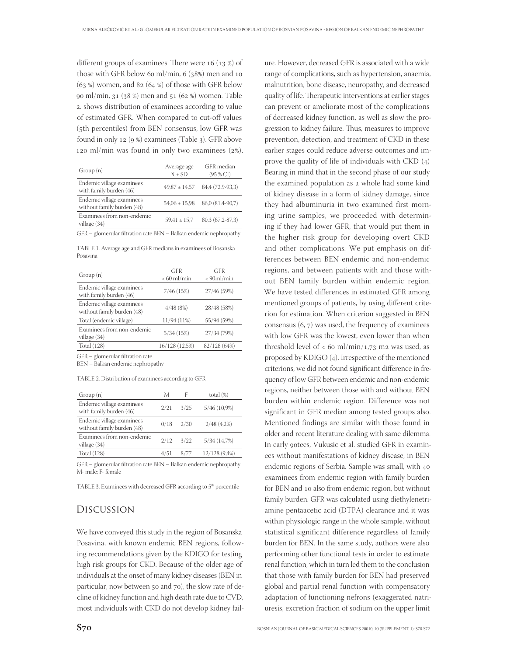different groups of examinees. There were  $16 (13%)$  of those with GFR below 60 ml/min,  $6(38%)$  men and 10  $(63 \%)$  women, and 82  $(64 \%)$  of those with GFR below 90 ml/min, 31 (38 %) men and 51 (62 %) women. Table . shows distribution of examinees according to value of estimated GFR. When compared to cut-off values (5th percentiles) from BEN consensus, low GFR was found in only  $12$  (9 %) examinees (Table 3). GFR above 120 ml/min was found in only two examinees  $(2%)$ .

| Group(n)                                                | Average age<br>$X \pm SD$ | GFR median<br>(95 % CI) |
|---------------------------------------------------------|---------------------------|-------------------------|
| Endemic village examinees<br>with family burden (46)    | $49,87 \pm 14,57$         | 84,4 (72,9-93,3)        |
| Endemic village examinees<br>without family burden (48) | $54,06 \pm 15,98$         | 86,0 (81,4-90,7)        |
| Examinees from non-endemic<br>village (34)              | $59.41 \pm 15.7$          | 80,3 (67,2-87,3)        |
|                                                         |                           |                         |

GFR – glomerular filtration rate BEN – Balkan endemic nephropathy

TABLE 1. Average age and GFR medians in examinees of Bosanska Posavina

| Group(n)                                                | <b>GFR</b>     | GFR           |
|---------------------------------------------------------|----------------|---------------|
|                                                         | $< 60$ ml/min  | $< 90$ ml/min |
| Endemic village examinees<br>with family burden (46)    | 7/46(15%)      | 27/46 (59%)   |
| Endemic village examinees<br>without family burden (48) | 4/48(8%)       | 28/48 (58%)   |
| Total (endemic village)                                 | 11/94 (11%)    | 55/94 (59%)   |
| Examinees from non-endemic<br>village (34)              | 5/34(15%)      | 27/34 (79%)   |
| <b>Total</b> (128)                                      | 16/128 (12,5%) | 82/128 (64%)  |
|                                                         |                |               |

GFR - glomerular filtration rate

BEN – Balkan endemic nephropathy

#### TABLE 2. Distribution of examinees according to GFR

| Group(n)                                                | М    |      | total $(\%)$    |
|---------------------------------------------------------|------|------|-----------------|
| Endemic village examinees<br>with family burden (46)    | 2/21 | 3/25 | $5/46$ (10,9%)  |
| Endemic village examinees<br>without family burden (48) | 0/18 | 2/30 | $2/48$ $(4,2%)$ |
| Examinees from non-endemic<br>village (34)              | 2/12 | 3/22 | 5/34(14,7%)     |
| Total (128)                                             | 4/51 | 8/77 | 12/128 (9,4%)   |

GFR - glomerular filtration rate BEN - Balkan endemic nephropathy M- male; F- female

TABLE 3. Examinees with decreased GFR according to 5<sup>th</sup> percentile

#### Discussion

We have conveyed this study in the region of Bosanska Posavina, with known endemic BEN regions, following recommendations given by the KDIGO for testing high risk groups for CKD. Because of the older age of individuals at the onset of many kidney diseases (BEN in particular, now between 50 and 70), the slow rate of decline of kidney function and high death rate due to CVD, most individuals with CKD do not develop kidney fail-

ure. However, decreased GFR is associated with a wide range of complications, such as hypertension, anaemia, malnutrition, bone disease, neuropathy, and decreased quality of life. Therapeutic interventions at earlier stages can prevent or ameliorate most of the complications of decreased kidney function, as well as slow the progression to kidney failure. Thus, measures to improve prevention, detection, and treatment of CKD in these earlier stages could reduce adverse outcomes and improve the quality of life of individuals with  $\text{CKD}(4)$ Bearing in mind that in the second phase of our study the examined population as a whole had some kind of kidney disease in a form of kidney damage, since they had albuminuria in two examined first morning urine samples, we proceeded with determining if they had lower GFR, that would put them in the higher risk group for developing overt CKD and other complications. We put emphasis on differences between BEN endemic and non-endemic regions, and between patients with and those without BEN family burden within endemic region. We have tested differences in estimated GFR among mentioned groups of patients, by using different criterion for estimation. When criterion suggested in BEN consensus  $(6, 7)$  was used, the frequency of examinees with low GFR was the lowest, even lower than when threshold level of  $<$  60 ml/min/1,73 m2 was used, as proposed by KDIGO  $(4)$ . Irrespective of the mentioned criterions, we did not found significant difference in frequency of low GFR between endemic and non-endemic regions, neither between those with and without BEN burden within endemic region. Difference was not significant in GFR median among tested groups also. Mentioned findings are similar with those found in older and recent literature dealing with same dilemma. In early 90tees, Vukusic et al. studied GFR in examinees without manifestations of kidney disease, in BEN endemic regions of Serbia. Sample was small, with examinees from endemic region with family burden for BEN and 10 also from endemic region, but without family burden. GFR was calculated using diethylenetriamine pentaacetic acid (DTPA) clearance and it was within physiologic range in the whole sample, without statistical significant difference regardless of family burden for BEN. In the same study, authors were also performing other functional tests in order to estimate renal function, which in turn led them to the conclusion that those with family burden for BEN had preserved global and partial renal function with compensatory adaptation of functioning nefrons (exaggerated natriuresis, excretion fraction of sodium on the upper limit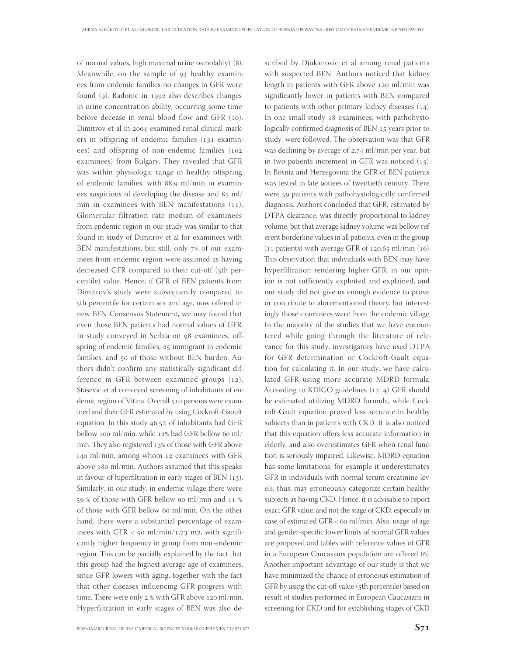of normal values, high maximal urine osmolality) (8). Meanwhile, on the sample of 93 healthy examinees from endemic families no changes in GFR were found (9). Radonic in 1992 also describes changes in urine concentration ability, occurring some time before decease in renal blood flow and GFR  $(10)$ . Dimitrov et al in 2004 examined renal clinical markers in offspring of endemic families  $(131)$  examinees) and offspring of non-endemic families ( examinees) from Bulgary. They revealed that GFR was within physiologic range in healthy offspring of endemic families, with 88,9 ml/min in examinees suspicious of developing the disease and  $85$  ml/ min in examinees with BEN manifestations  $(11)$ . Glomerular filtration rate median of examinees from endemic region in our study was similar to that found in study of Dimitrov et al for examinees with BEN manifestations, but still, only 7% of our examinees from endemic region were assumed as having decreased GFR compared to their cut-off (5th percentile) value. Hence, if GFR of BEN patients from Dimitrov's study were subsequently compared to 5th percentile for certain sex and age, now offered in new BEN Consensus Statement, we may found that even those BEN patients had normal values of GFR. In study conveyed in Serbia on 98 examinees, offspring of endemic families, 25 immigrant in endemic families, and 50 of those without BEN burden. Authors didn't confirm any statistically significant difference in GFR between examined groups  $(12)$ . Stasevic et al conveyed screening of inhabitants of endemic region of Vitina. Overall 510 persons were examined and their GFR estimated by using Cockroft-Gaoult equation. In this study 46,5% of inhabitants had GFR bellow 100 ml/min, while 12% had GFR bellow 60 ml/ min. They also registered 13% of those with GFR above 140 ml/min, among whom 12 examinees with GFR above 180 ml/min. Authors assumed that this speaks in favour of hiperfiltration in early stages of BEN  $(13)$ . Similarly, in our study, in endemic village there were 59 % of those with GFR bellow 90 ml/min and 11 % of those with GFR bellow 60 ml/min. On the other hand, there were a substantial percentage of examinees with GFR < 90 ml/min/1,73 m2, with significantly higher frequency in group from non-endemic region. This can be partially explained by the fact that this group had the highest average age of examinees, since GFR lowers with aging, together with the fact that other diseases influencing GFR progress with time. There were only  $2%$  with GFR above  $120$  ml/min. Hyperfiltration in early stages of BEN was also de-

scribed by Djukanovic et al among renal patients with suspected BEN. Authors noticed that kidney length in patients with GFR above  $120$  ml/min was significantly lower in patients with BEN compared to patients with other primary kidney diseases  $(14)$ . In one small study 18 examinees, with pathohystologically confirmed diagnosis of BEN 15 years prior to study, were followed. The observation was that GFR was declining by average of  $2,74$  ml/min per year, but in two patients increment in GFR was noticed  $(15)$ . In Bosnia and Herzegovina the GFR of BEN patients was tested in late 9otiees of twentieth century. There were 59 patients with pathohystologically confirmed diagnosis. Authors concluded that GFR, estimated by DTPA clearance, was directly proportional to kidney volume, but that average kidney volume was bellow referent borderline values in all patients, even in the group  $(11$  patients) with average GFR of  $120,65$  ml/min  $(16)$ . This observation that individuals with BEN may have hyperfiltration rendering higher GFR, in our opinion is not sufficiently exploited and explained, and our study did not give us enough evidence to prove or contribute to aforementioned theory, but interestingly those examinees were from the endemic village. In the majority of the studies that we have encountered while going through the literature of relevance for this study, investigators have used DTPA for GFR determination or Cockroft-Gault equation for calculating it. In our study, we have calculated GFR using more accurate MDRD formula. According to KDIGO guidelines  $(17, 4)$  GFR should be estimated utilizing MDRD formula, while Cockroft-Gault equation proved less accurate in healthy subjects than in patients with CKD. It is also noticed that this equation offers less accurate information in elderly, and also overestimates GFR when renal function is seriously impaired. Likewise, MDRD equation has some limitations, for example it underestimates GFR in individuals with normal serum creatinine levels, thus, may erroneously categorize certain healthy subjects as having CKD. Hence, it is advisable to report exact GFR value, and not the stage of CKD, especially in case of estimated GFR <  $60$  ml/min. Also, usage of age and gender-specific lower limits of normal GFR values are proposed and tables with reference values of GFR in a European Caucasians population are offered (6). Another important advantage of our study is that we have minimized the chance of erroneous estimation of GFR by using the cut-off value (5th percentile) based on result of studies performed in European Caucasians in screening for CKD and for establishing stages of CKD